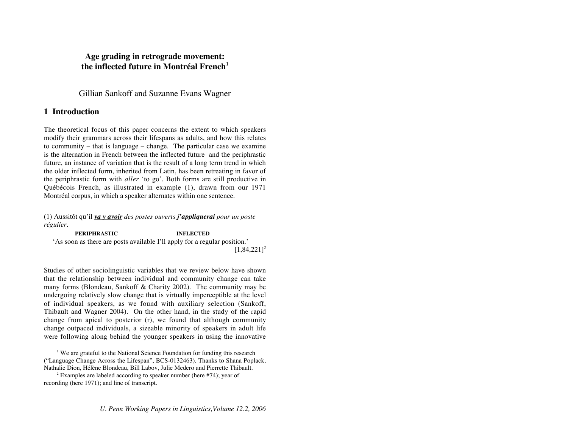# **Age grading in retrograde movement:** the inflected future in Montréal French<sup>1</sup>

Gillian Sankoff and Suzanne Evans Wagner

# **1 Introduction**

The theoretical focus of this paper concerns the extent to which speakers modify their grammars across their lifespans as adults, and how this relates to community – that is language – change. The particular case we examine is the alternation in French between the inflected future and the periphrastic future, an instance of variation that is the result of a long term trend in which the older inflected form, inherited from Latin, has been retreating in favor of the periphrastic form with *aller* 'to go'. Both forms are still productive in Québécois French, as illustrated in example (1), drawn from our 1971 Montréal corpus, in which a speaker alternates within one sentence.

(1) Aussitôt qu'il *va y avoir des postes ouverts j'appliquerai pour un poste régulier.*

**PERIPHRASTIC INFLECTED**  'As soon as there are posts available I'll apply for a regular position.'  $[1,84,221]^{2}$ 

Studies of other sociolinguistic variables that we review below have shown that the relationship between individual and community change can take many forms (Blondeau, Sankoff & Charity 2002). The community may be undergoing relatively slow change that is virtually imperceptible at the level of individual speakers, as we found with auxiliary selection (Sankoff, Thibault and Wagner 2004). On the other hand, in the study of the rapid change from apical to posterior (r), we found that although community change outpaced individuals, a sizeable minority of speakers in adult life were following along behind the younger speakers in using the innovative

 $\overline{\phantom{a}}$ <sup> $1$ </sup> We are grateful to the National Science Foundation for funding this research ("Language Change Across the Lifespan", BCS-0132463). Thanks to Shana Poplack, Nathalie Dion, Hélène Blondeau, Bill Labov, Julie Medero and Pierrette Thibault.

<sup>&</sup>lt;sup>2</sup> Examples are labeled according to speaker number (here #74); year of recording (here 1971); and line of transcript.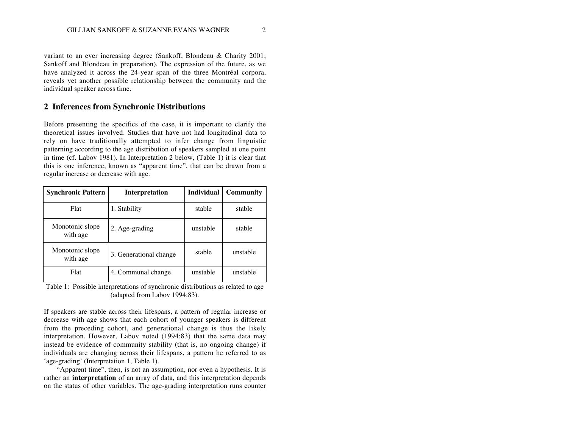variant to an ever increasing degree (Sankoff, Blondeau & Charity 2001; Sankoff and Blondeau in preparation). The expression of the future, as we have analyzed it across the 24-year span of the three Montréal corpora, reveals yet another possible relationship between the community and the individual speaker across time.

## **2 Inferences from Synchronic Distributions**

Before presenting the specifics of the case, it is important to clarify the theoretical issues involved. Studies that have not had longitudinal data to rely on have traditionally attempted to infer change from linguistic patterning according to the age distribution of speakers sampled at one point in time (cf. Labov 1981). In Interpretation 2 below, (Table 1) it is clear that this is one inference, known as "apparent time", that can be drawn from a regular increase or decrease with age.

| <b>Synchronic Pattern</b>   | <b>Interpretation</b>  | <b>Individual</b> | Community |
|-----------------------------|------------------------|-------------------|-----------|
| Flat                        | 1. Stability           | stable            | stable    |
| Monotonic slope<br>with age | 2. Age-grading         | unstable          | stable    |
| Monotonic slope<br>with age | 3. Generational change | stable            | unstable  |
| Flat                        | 4. Communal change     | unstable          | unstable  |

Table 1: Possible interpretations of synchronic distributions as related to age (adapted from Labov 1994:83).

If speakers are stable across their lifespans, a pattern of regular increase or decrease with age shows that each cohort of younger speakers is different from the preceding cohort, and generational change is thus the likely interpretation. However, Labov noted (1994:83) that the same data may instead be evidence of community stability (that is, no ongoing change) if individuals are changing across their lifespans, a pattern he referred to as 'age-grading' (Interpretation 1, Table 1).

"Apparent time", then, is not an assumption, nor even a hypothesis. It is rather an **interpretation** of an array of data, and this interpretation depends on the status of other variables. The age-grading interpretation runs counter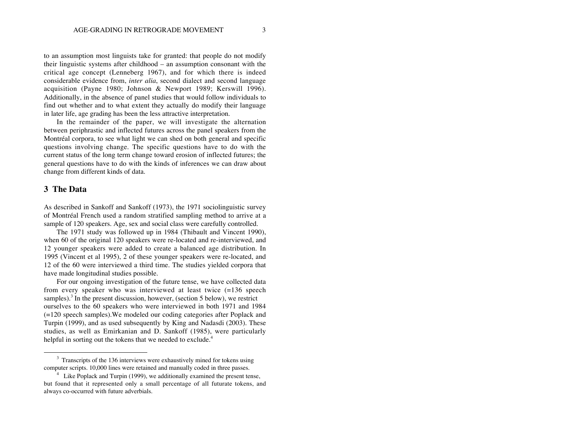to an assumption most linguists take for granted: that people do not modify their linguistic systems after childhood – an assumption consonant with the critical age concept (Lenneberg 1967), and for which there is indeed considerable evidence from, *inter alia*, second dialect and second language acquisition (Payne 1980; Johnson & Newport 1989; Kerswill 1996). Additionally, in the absence of panel studies that would follow individuals to find out whether and to what extent they actually do modify their language in later life, age grading has been the less attractive interpretation.

In the remainder of the paper, we will investigate the alternation between periphrastic and inflected futures across the panel speakers from the Montréal corpora, to see what light we can shed on both general and specific questions involving change. The specific questions have to do with the current status of the long term change toward erosion of inflected futures; the general questions have to do with the kinds of inferences we can draw about change from different kinds of data.

# **3 The Data**

As described in Sankoff and Sankoff (1973), the 1971 sociolinguistic survey of Montréal French used a random stratified sampling method to arrive at a sample of 120 speakers. Age, sex and social class were carefully controlled.

The 1971 study was followed up in 1984 (Thibault and Vincent 1990), when 60 of the original 120 speakers were re-located and re-interviewed, and 12 younger speakers were added to create a balanced age distribution. In 1995 (Vincent et al 1995), 2 of these younger speakers were re-located, and 12 of the 60 were interviewed a third time. The studies yielded corpora that have made longitudinal studies possible.

For our ongoing investigation of the future tense, we have collected data from every speaker who was interviewed at least twice (=136 speech samples).<sup>3</sup> In the present discussion, however, (section 5 below), we restrict ourselves to the 60 speakers who were interviewed in both 1971 and 1984 (=120 speech samples).We modeled our coding categories after Poplack and Turpin (1999), and as used subsequently by King and Nadasdi (2003). These studies, as well as Emirkanian and D. Sankoff (1985), were particularly helpful in sorting out the tokens that we needed to exclude.<sup>4</sup>

 $3$  Transcripts of the 136 interviews were exhaustively mined for tokens using computer scripts. 10,000 lines were retained and manually coded in three passes.

<sup>&</sup>lt;sup>4</sup> Like Poplack and Turpin (1999), we additionally examined the present tense, but found that it represented only a small percentage of all futurate tokens, and always co-occurred with future adverbials.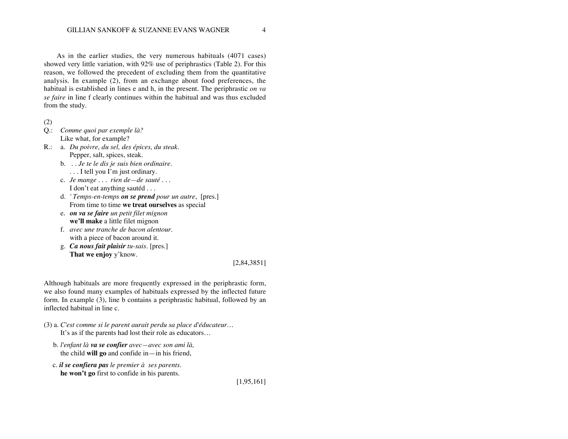As in the earlier studies, the very numerous habituals (4071 cases) showed very little variation, with 92% use of periphrastics (Table 2). For this reason, we followed the precedent of excluding them from the quantitative analysis. In example (2), from an exchange about food preferences, the habitual is established in lines e and h, in the present. The periphrastic *on va se faire* in line f clearly continues within the habitual and was thus excluded from the study.

(2)

- Q.: *Comme quoi par exemple là?* Like what, for example?
- R.: a. *Du poivre, du sel, des épices, du steak.*
	- Pepper, salt, spices, steak.
	- b. *. . Je te le dis je suis bien ordinaire.*
	- . . . I tell you I'm just ordinary.
	- c. *Je mange . . . rien de—de sauté . . .* I don't eat anything sautéd . . .
	- d. *' Temps-en-temps on se prend pour un autre*, [pres.] From time to time **we treat ourselves** as special
	- e. *on va se faire un petit filet mignon* **we'll make** a little filet mignon
	- f. *avec une tranche de bacon alentour.* with a piece of bacon around it.
	- g. *Ca nous fait plaisir tu-sais*. [pres.] **That we enjoy** y'know.

### [2,84,3851]

Although habituals are more frequently expressed in the periphrastic form, we also found many examples of habituals expressed by the inflected future form. In example (3), line b contains a periphrastic habitual, followed by an inflected habitual in line c.

- (3) a. *C'est comme si le parent aurait perdu sa place d'éducateur…* It's as if the parents had lost their role as educators…
	- b. *l'enfant là va se confier avec—avec son ami là,* the child **will go** and confide in—in his friend,
	- c. *il se confiera pas le premier à ses parents.* **he won't go** first to confide in his parents.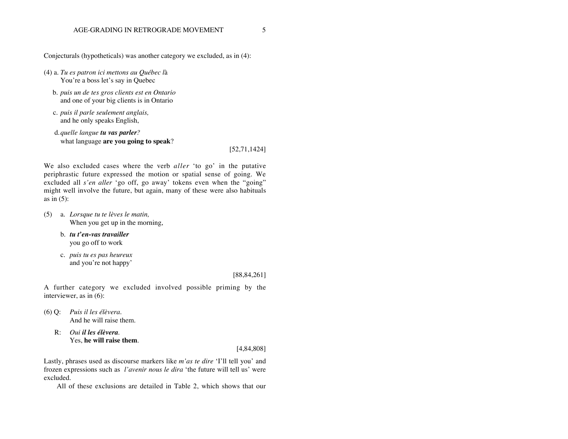Conjecturals (hypotheticals) was another category we excluded, as in (4):

(4) a. *Tu es patron ici mettons au Québec l*à You're a boss let's say in Quebec

- b. *puis un de tes gros clients est en Ontario* and one of your big clients is in Ontario
- c. *puis il parle seulement anglais,* and he only speaks English,

 d.*quelle langue tu vas parler?* what language **are you going to speak**?

[52,71,1424]

We also excluded cases where the verb *aller* 'to go' in the putative periphrastic future expressed the motion or spatial sense of going. We excluded all *s'en aller* 'go off, go away' tokens even when the "going" might well involve the future, but again, many of these were also habituals as in  $(5)$ :

- (5) a. *Lorsque tu te lèves le matin,* When you get up in the morning,
	- b. *tu t'en-vas travailler* you go off to work
	- c*. puis tu es pas heureux* and you're not happy'

#### [88,84,261]

A further category we excluded involved possible priming by the interviewer, as in (6):

- (6) Q: *Puis il les élèvera.* And he will raise them.
	- R: *Oui il les élèvera.* Yes, **he will raise them**.

#### [4,84,808]

Lastly, phrases used as discourse markers like *m'as te dire* 'I'll tell you' and frozen expressions such as *l'avenir nous le dira* 'the future will tell us' were excluded.

All of these exclusions are detailed in Table 2, which shows that our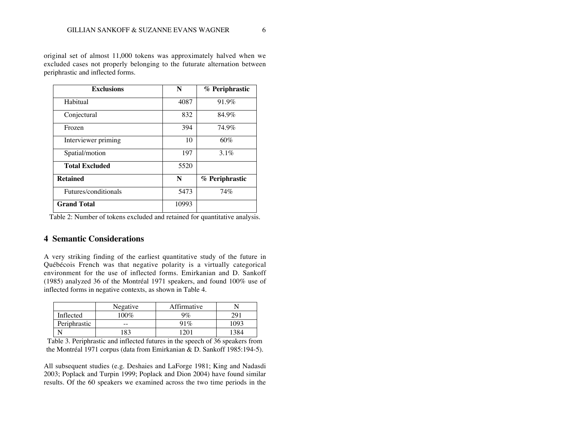original set of almost 11,000 tokens was approximately halved when we excluded cases not properly belonging to the futurate alternation between periphrastic and inflected forms.

| <b>Exclusions</b>     | N     | % Periphrastic |
|-----------------------|-------|----------------|
| Habitual              | 4087  | 91.9%          |
| Conjectural           | 832   | 84.9%          |
| Frozen                | 394   | 74.9%          |
| Interviewer priming   | 10    | 60%            |
| Spatial/motion        | 197   | $3.1\%$        |
| <b>Total Excluded</b> | 5520  |                |
| <b>Retained</b>       | N     | % Periphrastic |
| Futures/conditionals  | 5473  | 74%            |
| <b>Grand Total</b>    | 10993 |                |

Table 2: Number of tokens excluded and retained for quantitative analysis.

# **4 Semantic Considerations**

A very striking finding of the earliest quantitative study of the future in Québécois French was that negative polarity is a virtually categorical environment for the use of inflected forms. Emirkanian and D. Sankoff (1985) analyzed 36 of the Montréal 1971 speakers, and found 100% use of inflected forms in negative contexts, as shown in Table 4.

|              | Negative | Affirmative |     |
|--------------|----------|-------------|-----|
| Inflected    | $100\%$  | $9\%$       |     |
| Periphrastic |          | 91%         | 997 |
|              | 83       | ገበ          |     |

Table 3. Periphrastic and inflected futures in the speech of 36 speakers from the Montréal 1971 corpus (data from Emirkanian & D. Sankoff 1985:194-5).

All subsequent studies (e.g. Deshaies and LaForge 1981; King and Nadasdi 2003; Poplack and Turpin 1999; Poplack and Dion 2004) have found similar results. Of the 60 speakers we examined across the two time periods in the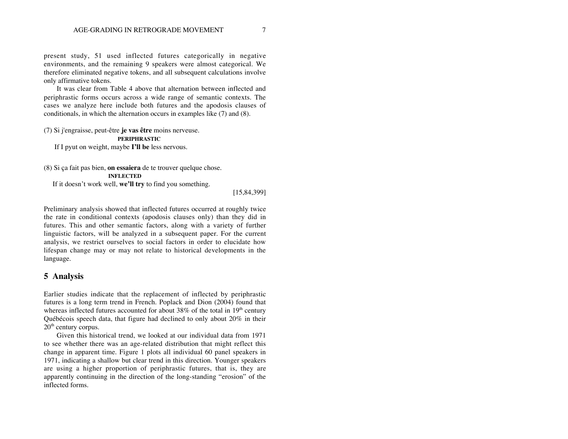present study, 51 used inflected futures categorically in negative environments, and the remaining 9 speakers were almost categorical. We therefore eliminated negative tokens, and all subsequent calculations involve only affirmative tokens.

It was clear from Table 4 above that alternation between inflected and periphrastic forms occurs across a wide range of semantic contexts. The cases we analyze here include both futures and the apodosis clauses of conditionals, in which the alternation occurs in examples like (7) and (8).

(7) Si j'engraisse, peut-être **je vas être** moins nerveuse.  **PERIPHRASTIC** If I pyut on weight, maybe **I'll be** less nervous.

(8) Si ça fait pas bien, **on essaiera** de te trouver quelque chose.  **INFLECTED** If it doesn't work well, **we'll try** to find you something.

[15,84,399]

Preliminary analysis showed that inflected futures occurred at roughly twice the rate in conditional contexts (apodosis clauses only) than they did in futures. This and other semantic factors, along with a variety of further linguistic factors, will be analyzed in a subsequent paper. For the current analysis, we restrict ourselves to social factors in order to elucidate how lifespan change may or may not relate to historical developments in the language.

## **5 Analysis**

Earlier studies indicate that the replacement of inflected by periphrastic futures is a long term trend in French. Poplack and Dion (2004) found that whereas inflected futures accounted for about  $38\%$  of the total in  $19<sup>th</sup>$  century Québécois speech data, that figure had declined to only about 20% in their  $20<sup>th</sup>$  century corpus.

Given this historical trend, we looked at our individual data from 1971 to see whether there was an age-related distribution that might reflect this change in apparent time. Figure 1 plots all individual 60 panel speakers in 1971, indicating a shallow but clear trend in this direction. Younger speakers are using a higher proportion of periphrastic futures, that is, they are apparently continuing in the direction of the long-standing "erosion" of the inflected forms.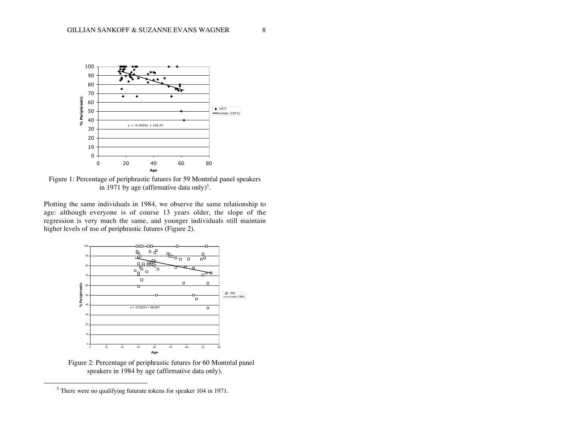

Figure 1: Percentage of periphrastic futures for 59 Montréal panel speakers in 1971 by age (affirmative data only)<sup>5</sup>.

Plotting the same individuals in 1984, we observe the same relationship to age: although everyone is of course 13 years older, the slope of the regression is very much the same, and younger individuals still maintain higher levels of use of periphrastic futures (Figure 2).



Figure 2: Percentage of periphrastic futures for 60 Montréal panel speakers in 1984 by age (affirmative data only).

There were no qualifying futurate tokens for speaker 104 in 1971.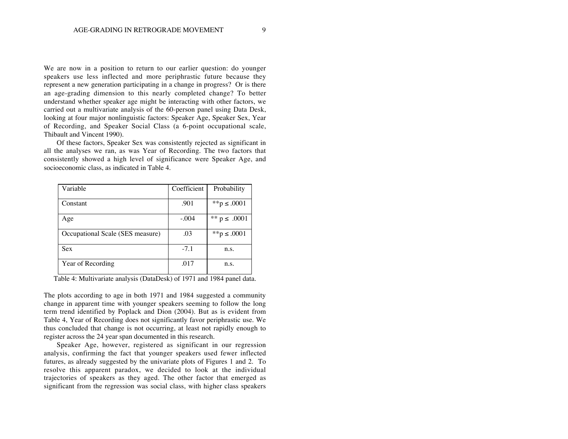We are now in a position to return to our earlier question: do younger speakers use less inflected and more periphrastic future because they represent a new generation participating in a change in progress? Or is there an age-grading dimension to this nearly completed change? To better understand whether speaker age might be interacting with other factors, we carried out a multivariate analysis of the 60-person panel using Data Desk, looking at four major nonlinguistic factors: Speaker Age, Speaker Sex, Year of Recording, and Speaker Social Class (a 6-point occupational scale, Thibault and Vincent 1990).

Of these factors, Speaker Sex was consistently rejected as significant in all the analyses we ran, as was Year of Recording. The two factors that consistently showed a high level of significance were Speaker Age, and socioeconomic class, as indicated in Table 4.

| Variable                         | Coefficient | Probability      |
|----------------------------------|-------------|------------------|
| Constant                         | .901        | **p ≤ .0001      |
| Age                              | $-.004$     | ** $p \le .0001$ |
| Occupational Scale (SES measure) | .03         | **p ≤ .0001      |
| <b>Sex</b>                       | $-7.1$      | n.s.             |
| Year of Recording                | .017        | n.s.             |

Table 4: Multivariate analysis (DataDesk) of 1971 and 1984 panel data.

The plots according to age in both 1971 and 1984 suggested a community change in apparent time with younger speakers seeming to follow the long term trend identified by Poplack and Dion (2004). But as is evident from Table 4, Year of Recording does not significantly favor periphrastic use. We thus concluded that change is not occurring, at least not rapidly enough to register across the 24 year span documented in this research.

Speaker Age, however, registered as significant in our regression analysis, confirming the fact that younger speakers used fewer inflected futures, as already suggested by the univariate plots of Figures 1 and 2. To resolve this apparent paradox, we decided to look at the individual trajectories of speakers as they aged. The other factor that emerged as significant from the regression was social class, with higher class speakers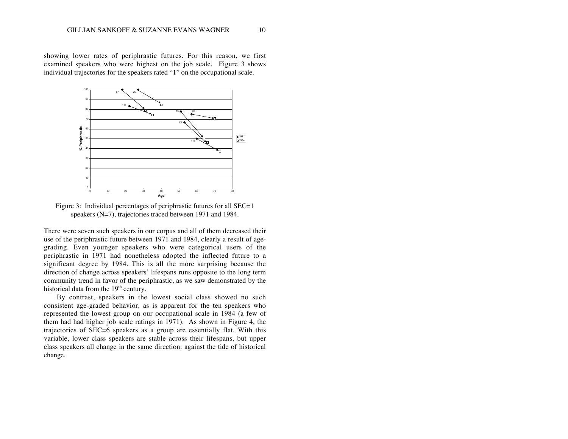showing lower rates of periphrastic futures. For this reason, we first examined speakers who were highest on the job scale. Figure 3 shows individual trajectories for the speakers rated "1" on the occupational scale.



Figure 3: Individual percentages of periphrastic futures for all SEC=1 speakers (N=7), trajectories traced between 1971 and 1984.

There were seven such speakers in our corpus and all of them decreased their use of the periphrastic future between 1971 and 1984, clearly a result of agegrading. Even younger speakers who were categorical users of the periphrastic in 1971 had nonetheless adopted the inflected future to a significant degree by 1984. This is all the more surprising because the direction of change across speakers' lifespans runs opposite to the long term community trend in favor of the periphrastic, as we saw demonstrated by the historical data from the  $19<sup>th</sup>$  century.

By contrast, speakers in the lowest social class showed no such consistent age-graded behavior, as is apparent for the ten speakers who represented the lowest group on our occupational scale in 1984 (a few of them had had higher job scale ratings in 1971). As shown in Figure 4, the trajectories of SEC=6 speakers as a group are essentially flat. With this variable, lower class speakers are stable across their lifespans, but upper class speakers all change in the same direction: against the tide of historical change.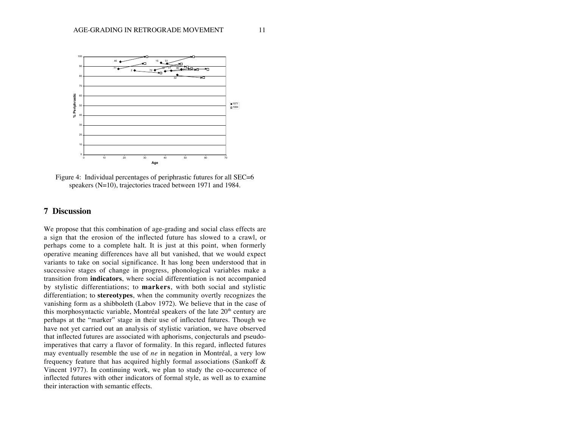

Figure 4: Individual percentages of periphrastic futures for all SEC=6 speakers (N=10), trajectories traced between 1971 and 1984.

# **7 Discussion**

We propose that this combination of age-grading and social class effects are a sign that the erosion of the inflected future has slowed to a crawl, or perhaps come to a complete halt. It is just at this point, when formerly operative meaning differences have all but vanished, that we would expect variants to take on social significance. It has long been understood that in successive stages of change in progress, phonological variables make a transition from **indicators**, where social differentiation is not accompanied by stylistic differentiations; to **markers**, with both social and stylistic differentiation; to **stereotypes**, when the community overtly recognizes the vanishing form as a shibboleth (Labov 1972). We believe that in the case of this morphosyntactic variable, Montréal speakers of the late  $20<sup>th</sup>$  century are perhaps at the "marker" stage in their use of inflected futures. Though we have not yet carried out an analysis of stylistic variation, we have observed that inflected futures are associated with aphorisms, conjecturals and pseudoimperatives that carry a flavor of formality. In this regard, inflected futures may eventually resemble the use of *ne* in negation in Montréal, a very low frequency feature that has acquired highly formal associations (Sankoff & Vincent 1977). In continuing work, we plan to study the co-occurrence of inflected futures with other indicators of formal style, as well as to examine their interaction with semantic effects.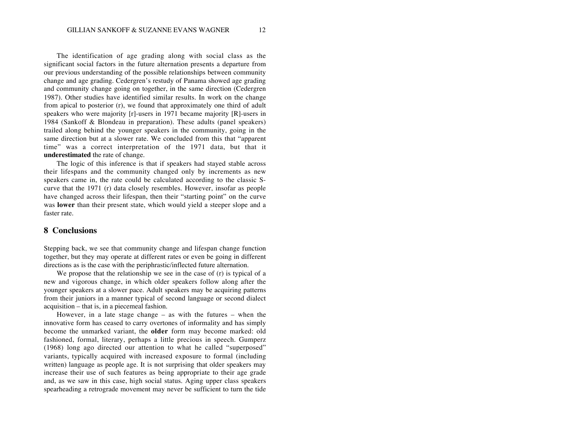The identification of age grading along with social class as the significant social factors in the future alternation presents a departure from our previous understanding of the possible relationships between community change and age grading. Cedergren's restudy of Panama showed age grading and community change going on together, in the same direction (Cedergren 1987). Other studies have identified similar results. In work on the change from apical to posterior (r), we found that approximately one third of adult speakers who were majority [r]-users in 1971 became majority [R]-users in 1984 (Sankoff & Blondeau in preparation). These adults (panel speakers) trailed along behind the younger speakers in the community, going in the same direction but at a slower rate. We concluded from this that "apparent time" was a correct interpretation of the 1971 data, but that it **underestimated** the rate of change.

The logic of this inference is that if speakers had stayed stable across their lifespans and the community changed only by increments as new speakers came in, the rate could be calculated according to the classic Scurve that the 1971 (r) data closely resembles. However, insofar as people have changed across their lifespan, then their "starting point" on the curve was **lower** than their present state, which would yield a steeper slope and a faster rate.

## **8 Conclusions**

Stepping back, we see that community change and lifespan change function together, but they may operate at different rates or even be going in different directions as is the case with the periphrastic/inflected future alternation.

We propose that the relationship we see in the case of (r) is typical of a new and vigorous change, in which older speakers follow along after the younger speakers at a slower pace. Adult speakers may be acquiring patterns from their juniors in a manner typical of second language or second dialect acquisition – that is, in a piecemeal fashion.

However, in a late stage change – as with the futures – when the innovative form has ceased to carry overtones of informality and has simply become the unmarked variant, the **older** form may become marked: old fashioned, formal, literary, perhaps a little precious in speech. Gumperz (1968) long ago directed our attention to what he called "superposed" variants, typically acquired with increased exposure to formal (including written) language as people age. It is not surprising that older speakers may increase their use of such features as being appropriate to their age grade and, as we saw in this case, high social status. Aging upper class speakers spearheading a retrograde movement may never be sufficient to turn the tide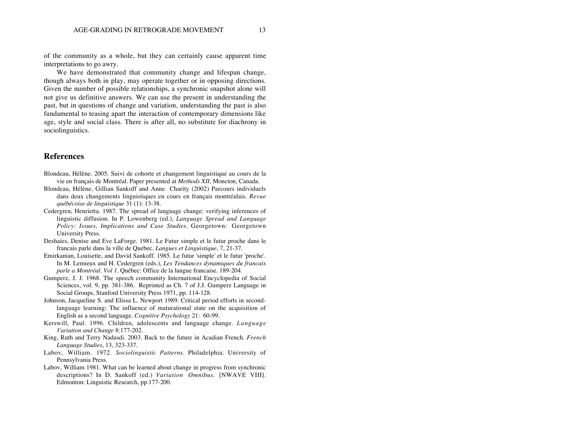of the community as a whole, but they can certainly cause apparent time interpretations to go awry.

We have demonstrated that community change and lifespan change, though always both in play, may operate together or in opposing directions. Given the number of possible relationships, a synchronic snapshot alone will not give us definitive answers. We can use the present in understanding the past, but in questions of change and variation, understanding the past is also fundamental to teasing apart the interaction of contemporary dimensions like age, style and social class. There is after all, no substitute for diachrony in sociolinguistics.

### **References**

- Blondeau, Hélène. 2005. Suivi de cohorte et changement linguistique au cours de la vie en français de Montréal. Paper presented at *Methods XII*, Moncton, Canada.
- Blondeau, Hélène, Gillian Sankoff and Anne Charity (2002) Parcours individuels dans deux changements linguistiques en cours en français montréalais. *Revue québécoise de linguistique* 31 (1): 13-38.
- Cedergren, Henrietta. 1987. The spread of language change: verifying inferences of linguistic diffusion. In P. Lowenberg (ed.), *Language Spread and Language Policy: Issues, Implications and Case Studies.* Georgetown: Georgetown University Press.
- Deshaies, Denise and Eve LaForge. 1981. Le Futur simple et le futur proche dans le francais parle dans la ville de Quebec. *Langues et Linguistique*, 7, 21-37.
- Emirkanian, Louisette, and David Sankoff. 1985. Le futur 'simple' et le futur 'proche'. In M. Lemieux and H. Cedergren (eds.), *Les Tendances dynamiques du francais parle a Montréal. Vol 1.* Québec: Office de la langue francaise. 189-204.
- Gumperz, J. J. 1968. The speech community International Encyclopedia of Social Sciences, vol. 9, pp. 381-386. Reprinted as Ch. 7 of J.J. Gumperz Language in Social Groups, Stanford University Press 1971, pp. 114-128.
- Johnson, Jacqueline S. and Elissa L. Newport 1989. Critical period efforts in secondlanguage learning: The influence of maturational state on the acquisition of English as a second language. *Cognitive Psychology* 21: 60-99.
- Kerswill, Paul. 1996. Children, adolescents and language change. *Language Variation and Change* 8:177-202.
- King, Ruth and Terry Nadasdi. 2003. Back to the future in Acadian French. *French Language Studies*, 13, 323-337.
- Labov, William. 1972. *Sociolinguistic Patterns.* Philadelphia: University of Pennsylvania Press.
- Labov, William 1981. What can be learned about change in progress from synchronic descriptions? In D. Sankoff (ed.) *Variation Omnibus*. [NWAVE VIII]. Edmonton: Linguistic Research, pp.177-200.